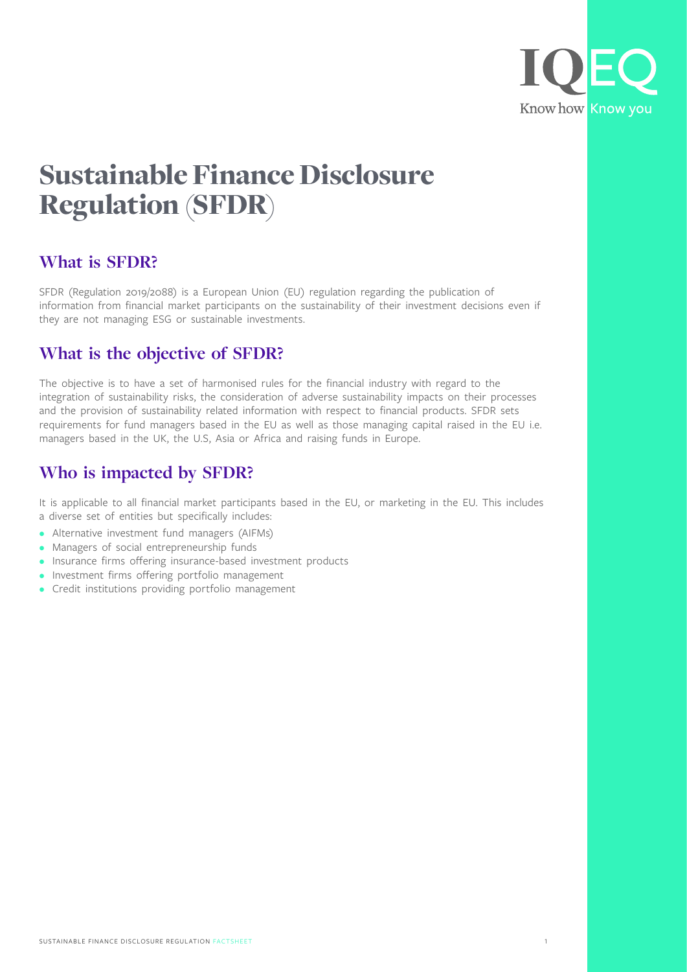

# Sustainable Finance Disclosure Regulation (SFDR)

### **What is SFDR?**

SFDR (Regulation 2019/2088) is a European Union (EU) regulation regarding the publication of information from financial market participants on the sustainability of their investment decisions even if they are not managing ESG or sustainable investments.

### **What is the objective of SFDR?**

The objective is to have a set of harmonised rules for the financial industry with regard to the integration of sustainability risks, the consideration of adverse sustainability impacts on their processes and the provision of sustainability related information with respect to financial products. SFDR sets requirements for fund managers based in the EU as well as those managing capital raised in the EU i.e. managers based in the UK, the U.S, Asia or Africa and raising funds in Europe.

## **Who is impacted by SFDR?**

It is applicable to all financial market participants based in the EU, or marketing in the EU. This includes a diverse set of entities but specifically includes:

- Alternative investment fund managers (AIFMs)
- Managers of social entrepreneurship funds
- Insurance firms offering insurance-based investment products
- Investment firms offering portfolio management
- Credit institutions providing portfolio management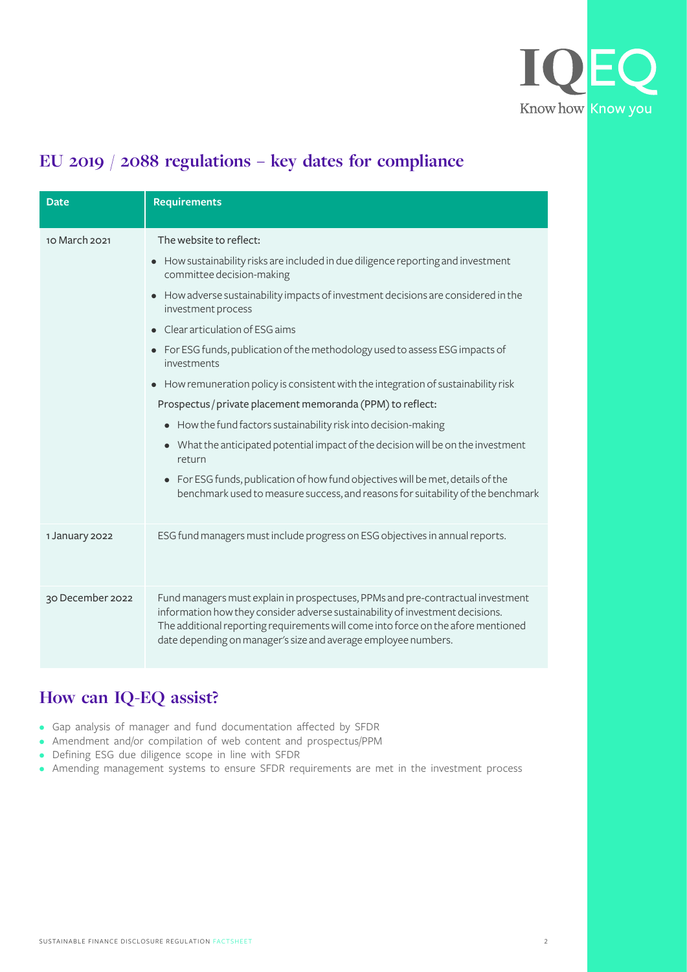

## **EU 2019 / 2088 regulations – key dates for compliance**

| <b>Date</b>      | <b>Requirements</b>                                                                                                                                                                                                                                                                                                     |
|------------------|-------------------------------------------------------------------------------------------------------------------------------------------------------------------------------------------------------------------------------------------------------------------------------------------------------------------------|
| 10 March 2021    | The website to reflect:                                                                                                                                                                                                                                                                                                 |
|                  | How sustainability risks are included in due diligence reporting and investment<br>committee decision-making                                                                                                                                                                                                            |
|                  | How adverse sustainability impacts of investment decisions are considered in the<br>investment process                                                                                                                                                                                                                  |
|                  | • Clear articulation of ESG aims                                                                                                                                                                                                                                                                                        |
|                  | For ESG funds, publication of the methodology used to assess ESG impacts of<br>investments                                                                                                                                                                                                                              |
|                  | How remuneration policy is consistent with the integration of sustainability risk                                                                                                                                                                                                                                       |
|                  | Prospectus / private placement memoranda (PPM) to reflect:                                                                                                                                                                                                                                                              |
|                  | How the fund factors sustainability risk into decision-making                                                                                                                                                                                                                                                           |
|                  | What the anticipated potential impact of the decision will be on the investment<br>$\bullet$<br>return                                                                                                                                                                                                                  |
|                  | For ESG funds, publication of how fund objectives will be met, details of the<br>$\bullet$<br>benchmark used to measure success, and reasons for suitability of the benchmark                                                                                                                                           |
| 1 January 2022   | ESG fund managers must include progress on ESG objectives in annual reports.                                                                                                                                                                                                                                            |
| 30 December 2022 | Fund managers must explain in prospectuses, PPMs and pre-contractual investment<br>information how they consider adverse sustainability of investment decisions.<br>The additional reporting requirements will come into force on the afore mentioned<br>date depending on manager's size and average employee numbers. |

## **How can IQ-EQ assist?**

- Gap analysis of manager and fund documentation affected by SFDR
- Amendment and/or compilation of web content and prospectus/PPM
- Defining ESG due diligence scope in line with SFDR
- Amending management systems to ensure SFDR requirements are met in the investment process